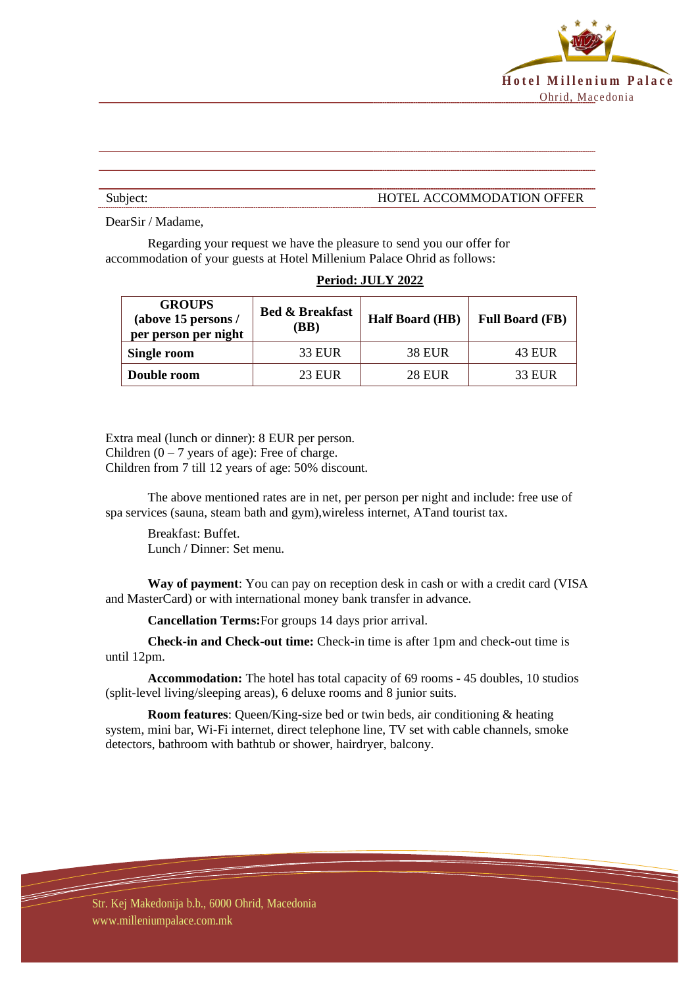

## Subject: HOTEL ACCOMMODATION OFFER

DearSir / Madame,

Regarding your request we have the pleasure to send you our offer for accommodation of your guests at Hotel Millenium Palace Ohrid as follows:

| <b>GROUPS</b><br>(above 15 persons /<br>per person per night | <b>Bed &amp; Breakfast</b><br>(BB) | <b>Half Board (HB)</b> | <b>Full Board (FB)</b> |
|--------------------------------------------------------------|------------------------------------|------------------------|------------------------|
| Single room                                                  | 33 EUR                             | <b>38 EUR</b>          | 43 EUR                 |
| Double room                                                  | <b>23 EUR</b>                      | <b>28 EUR</b>          | <b>33 EUR</b>          |

## **Period: JULY 2022**

Extra meal (lunch or dinner): 8 EUR per person. Children  $(0 - 7)$  years of age): Free of charge. Children from 7 till 12 years of age: 50% discount.

The above mentioned rates are in net, per person per night and include: free use of spa services (sauna, steam bath and gym),wireless internet, ATand tourist tax.

Breakfast: Buffet. Lunch / Dinner: Set menu.

**Way of payment**: You can pay on reception desk in cash or with a credit card (VISA and MasterCard) or with international money bank transfer in advance.

**Cancellation Terms:**For groups 14 days prior arrival.

**Check-in and Check-out time:** Check-in time is after 1pm and check-out time is until 12pm.

**Accommodation:** The hotel has total capacity of 69 rooms - 45 doubles, 10 studios (split-level living/sleeping areas), 6 deluxe rooms and 8 junior suits.

**Room features**: Queen/King-size bed or twin beds, air conditioning & heating system, mini bar, Wi-Fi internet, direct telephone line, TV set with cable channels, smoke detectors, bathroom with bathtub or shower, hairdryer, balcony.